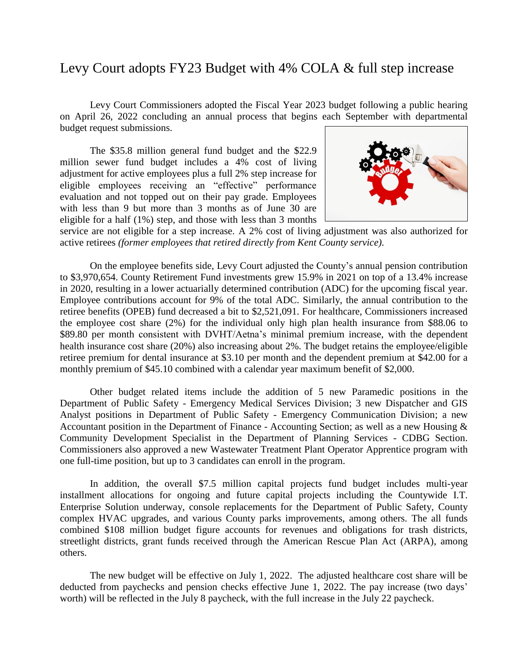## Levy Court adopts FY23 Budget with 4% COLA & full step increase

Levy Court Commissioners adopted the Fiscal Year 2023 budget following a public hearing on April 26, 2022 concluding an annual process that begins each September with departmental budget request submissions.

The \$35.8 million general fund budget and the \$22.9 million sewer fund budget includes a 4% cost of living adjustment for active employees plus a full 2% step increase for eligible employees receiving an "effective" performance evaluation and not topped out on their pay grade. Employees with less than 9 but more than 3 months as of June 30 are eligible for a half (1%) step, and those with less than 3 months



service are not eligible for a step increase. A 2% cost of living adjustment was also authorized for active retirees *(former employees that retired directly from Kent County service).*

On the employee benefits side, Levy Court adjusted the County's annual pension contribution to \$3,970,654. County Retirement Fund investments grew 15.9% in 2021 on top of a 13.4% increase in 2020, resulting in a lower actuarially determined contribution (ADC) for the upcoming fiscal year. Employee contributions account for 9% of the total ADC. Similarly, the annual contribution to the retiree benefits (OPEB) fund decreased a bit to \$2,521,091. For healthcare, Commissioners increased the employee cost share (2%) for the individual only high plan health insurance from \$88.06 to \$89.80 per month consistent with DVHT/Aetna's minimal premium increase, with the dependent health insurance cost share (20%) also increasing about 2%. The budget retains the employee/eligible retiree premium for dental insurance at \$3.10 per month and the dependent premium at \$42.00 for a monthly premium of \$45.10 combined with a calendar year maximum benefit of \$2,000.

Other budget related items include the addition of 5 new Paramedic positions in the Department of Public Safety - Emergency Medical Services Division; 3 new Dispatcher and GIS Analyst positions in Department of Public Safety - Emergency Communication Division; a new Accountant position in the Department of Finance - Accounting Section; as well as a new Housing & Community Development Specialist in the Department of Planning Services - CDBG Section. Commissioners also approved a new Wastewater Treatment Plant Operator Apprentice program with one full-time position, but up to 3 candidates can enroll in the program.

In addition, the overall \$7.5 million capital projects fund budget includes multi-year installment allocations for ongoing and future capital projects including the Countywide I.T. Enterprise Solution underway, console replacements for the Department of Public Safety, County complex HVAC upgrades, and various County parks improvements, among others. The all funds combined \$108 million budget figure accounts for revenues and obligations for trash districts, streetlight districts, grant funds received through the American Rescue Plan Act (ARPA), among others.

The new budget will be effective on July 1, 2022. The adjusted healthcare cost share will be deducted from paychecks and pension checks effective June 1, 2022. The pay increase (two days' worth) will be reflected in the July 8 paycheck, with the full increase in the July 22 paycheck.